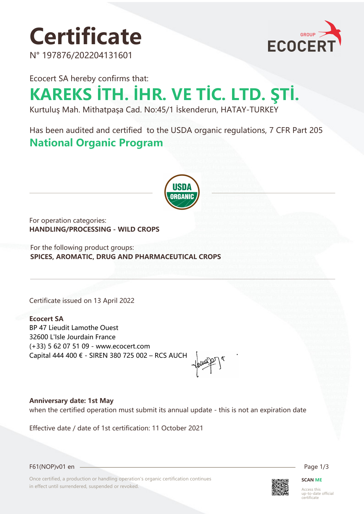# **Certificate**

N° 197876/202204131601



Ecocert SA hereby confirms that: **KAREKS İTH. İHR. VE TİC. LTD. ŞTİ.**

Kurtuluş Mah. Mithatpaşa Cad. No:45/1 İskenderun, HATAY-TURKEY

Has been audited and certified to the USDA organic regulations, 7 CFR Part 205 **National Organic Program** 



For operation categories: **HANDLING/PROCESSING - WILD CROPS**

For the following product groups: **SPICES, AROMATIC, DRUG AND PHARMACEUTICAL CROPS**

Certificate issued on 13 April 2022

## **Ecocert SA**

BP 47 Lieudit Lamothe Ouest 32600 L'Isle Jourdain France (+33) 5 62 07 51 09 - www.ecocert.com Capital 444 400 € - SIREN 380 725 002 – RCS AUCH

**Anniversary date: 1st May** when the certified operation must submit its annual update - this is not an expiration date

Effective date / date of 1st certification: 11 October 2021



F61(NOP)v01 en Page 1/3

Once certified, a production or handling operation's organic certification continues in effect until surrendered, suspended or revoked.



### **SCAN ME**

Access this up-to-date official certificate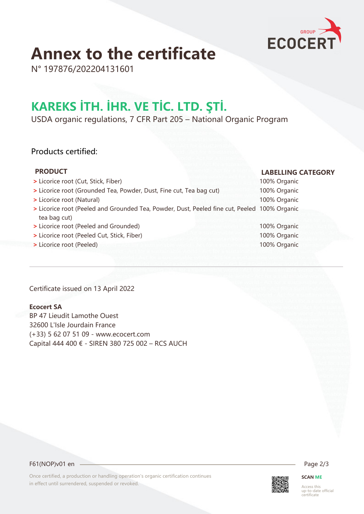

# **Annex to the certificate**

N° 197876/202204131601

# **KAREKS İTH. İHR. VE TİC. LTD. ŞTİ.**

USDA organic regulations, 7 CFR Part 205 – National Organic Program

## Products certified:

# **PRODUCT LABELLING CATEGORY**

| > Licorice root (Cut, Stick, Fiber)                                                          | 100% Organic |
|----------------------------------------------------------------------------------------------|--------------|
| > Licorice root (Grounded Tea, Powder, Dust, Fine cut, Tea bag cut)                          | 100% Organic |
| > Licorice root (Natural)                                                                    | 100% Organic |
| > Licorice root (Peeled and Grounded Tea, Powder, Dust, Peeled fine cut, Peeled 100% Organic |              |
| tea bag cut)                                                                                 |              |
| > Licorice root (Peeled and Grounded)                                                        | 100% Organic |

- **>** Licorice root (Peeled Cut, Stick, Fiber) 100% Organic
- **>** Licorice root (Peeled) 100% Organic

Certificate issued on 13 April 2022

### **Ecocert SA**

BP 47 Lieudit Lamothe Ouest 32600 L'Isle Jourdain France (+33) 5 62 07 51 09 - www.ecocert.com Capital 444 400 € - SIREN 380 725 002 – RCS AUCH

F61(NOP)v01 en 2/3

Once certified, a production or handling operation's organic certification continues in effect until surrendered, suspended or revoked.



# **SCAN ME**

Access this up-to-date official certificate